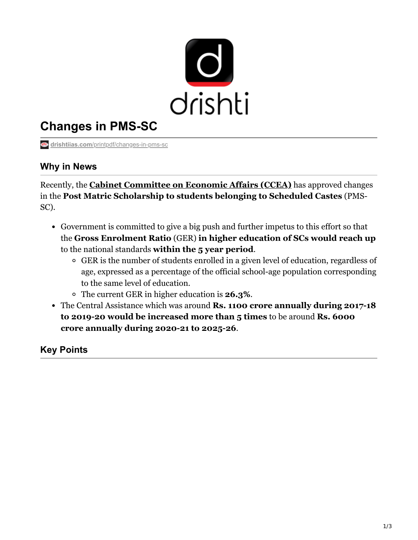

# **Changes in PMS-SC**

**drishtiias.com**[/printpdf/changes-in-pms-sc](https://www.drishtiias.com/printpdf/changes-in-pms-sc)

# **Why in News**

Recently, the **[Cabinet Committee on Economic Affairs \(CCEA\)](https://www.drishtiias.com/daily-updates/daily-news-analysis/cabinet-committees-formed)** has approved changes in the **Post Matric Scholarship to students belonging to Scheduled Castes** (PMS-SC).

- Government is committed to give a big push and further impetus to this effort so that the **Gross Enrolment Ratio** (GER) **in higher education of SCs would reach up** to the national standards **within the 5 year period**.
	- GER is the number of students enrolled in a given level of education, regardless of age, expressed as a percentage of the official school-age population corresponding to the same level of education.
	- The current GER in higher education is **26.3%**.
- The Central Assistance which was around **Rs. 1100 crore annually during 2017-18 to 2019-20 would be increased more than 5 times** to be around **Rs. 6000 crore annually during 2020-21 to 2025-26**.

# **Key Points**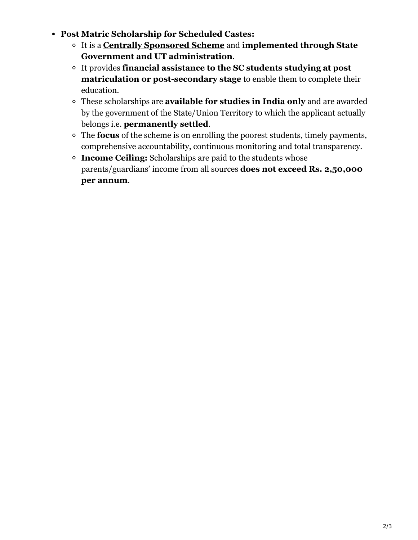- **Post Matric Scholarship for Scheduled Castes:**
	- It is a **[Centrally Sponsored Scheme](https://www.drishtiias.com/daily-updates/daily-news-editorials/reforming-centrally-sponsored-scheme)** and **implemented through State Government and UT administration**.
	- It provides **financial assistance to the SC students studying at post matriculation or post-secondary stage** to enable them to complete their education.
	- These scholarships are **available for studies in India only** and are awarded by the government of the State/Union Territory to which the applicant actually belongs i.e. **permanently settled**.
	- The **focus** of the scheme is on enrolling the poorest students, timely payments, comprehensive accountability, continuous monitoring and total transparency.
	- **Income Ceiling:** Scholarships are paid to the students whose parents/guardians' income from all sources **does not exceed Rs. 2,50,000 per annum**.